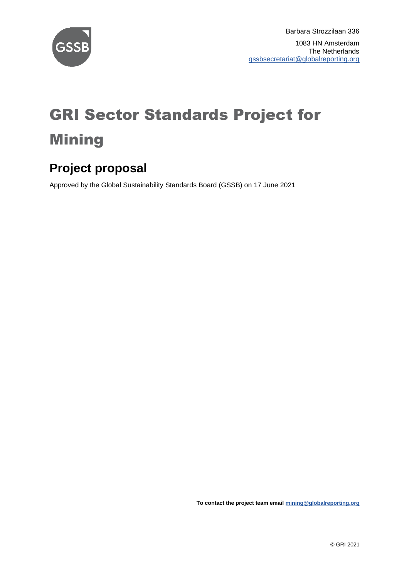

# GRI Sector Standards Project for Mining

#### **Project proposal**

Approved by the Global Sustainability Standards Board (GSSB) on 17 June 2021

**To contact the project team emai[l mining@globalreporting.org](mailto:mining@globalreporting.org)**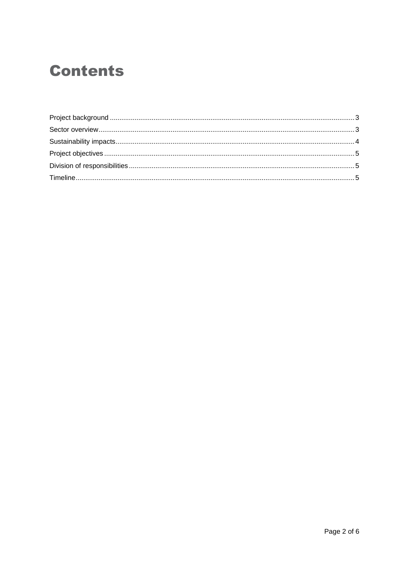#### **Contents**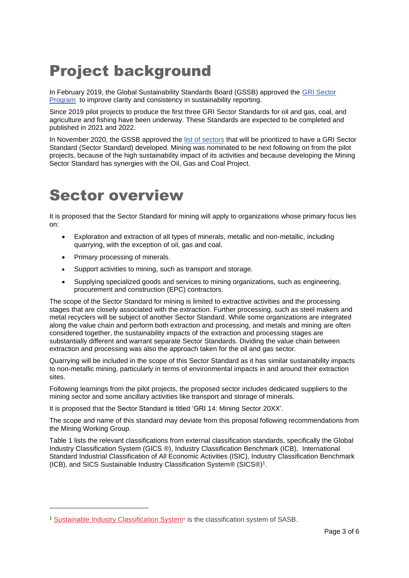## <span id="page-2-0"></span>Project background

In February 2019, the Global Sustainability Standards Board (GSSB) approved the [GRI Sector](https://www.globalreporting.org/standards/media/2235/gri_sector_program_description.pdf)  [Program](https://www.globalreporting.org/standards/media/2235/gri_sector_program_description.pdf) to improve clarity and consistency in sustainability reporting.

Since 2019 pilot projects to produce the first three GRI Sector Standards for oil and gas, coal, and agriculture and fishing have been underway. These Standards are expected to be completed and published in 2021 and 2022.

In November 2020, the GSSB approved the [list of sectors](https://globalreporting.sharepoint.com/:w:/r/ReportingStandard/GSSB/2020/11.%2019%20November%202020/Documents%20to%20be%20sent%20out/Item%2002%20–%20GRI%20Sector%20Standards%20Program%20–%20Revised%20list%20of%20prioritized%20sectors%20approved.docx?d=wb64f4fbd11bd4ee39f9f6f153041a86b&csf=1&web=1&e=ppJzcT) that will be prioritized to have a GRI Sector Standard (Sector Standard) developed. Mining was nominated to be next following on from the pilot projects, because of the high sustainability impact of its activities and because developing the Mining Sector Standard has synergies with the Oil, Gas and Coal Project.

#### <span id="page-2-1"></span>Sector overview

It is proposed that the Sector Standard for mining will apply to organizations whose primary focus lies on:

- Exploration and extraction of all types of minerals, metallic and non-metallic, including quarrying, with the exception of oil, gas and coal.
- Primary processing of minerals.
- Support activities to mining, such as transport and storage.
- Supplying specialized goods and services to mining organizations, such as engineering, procurement and construction (EPC) contractors.

The scope of the Sector Standard for mining is limited to extractive activities and the processing stages that are closely associated with the extraction. Further processing, such as steel makers and metal recyclers will be subject of another Sector Standard. While some organizations are integrated along the value chain and perform both extraction and processing, and metals and mining are often considered together, the sustainability impacts of the extraction and processing stages are substantially different and warrant separate Sector Standards. Dividing the value chain between extraction and processing was also the approach taken for the oil and gas sector.

Quarrying will be included in the scope of this Sector Standard as it has similar sustainability impacts to non-metallic mining, particularly in terms of environmental impacts in and around their extraction sites.

Following learnings from the pilot projects, the proposed sector includes dedicated suppliers to the mining sector and some ancillary activities like transport and storage of minerals.

It is proposed that the Sector Standard is titled 'GRI 14: Mining Sector 20XX'.

The scope and name of this standard may deviate from this proposal following recommendations from the Mining Working Group.

Table 1 lists the relevant classifications from external classification standards, specifically the Global Industry Classification System (GICS ®), Industry Classification Benchmark (ICB), International Standard Industrial Classification of All Economic Activities (ISIC), Industry Classification Benchmark (ICB), and SICS [Sustainable Industry Classification System®](https://www.sasb.org/wp-content/uploads/2018/11/SICS-Industry-List.pdf) (SICS®)<sup>1</sup> .

<sup>1</sup> Sustainable Industry [Classification](https://www.sasb.org/wp-content/uploads/2018/11/SICS-Industry-List.pdf) System® is the classification system of SASB.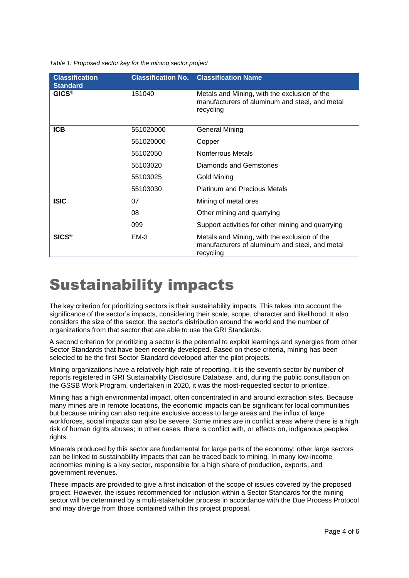*Table 1: Proposed sector key for the mining sector project*

| <b>Classification</b><br><b>Standard</b> |           | <b>Classification No. Classification Name</b>                                                               |  |  |  |  |  |  |  |  |  |
|------------------------------------------|-----------|-------------------------------------------------------------------------------------------------------------|--|--|--|--|--|--|--|--|--|
| <b>GICS®</b>                             | 151040    | Metals and Mining, with the exclusion of the<br>manufacturers of aluminum and steel, and metal<br>recycling |  |  |  |  |  |  |  |  |  |
| <b>ICB</b>                               | 551020000 | <b>General Mining</b>                                                                                       |  |  |  |  |  |  |  |  |  |
|                                          | 551020000 | Copper                                                                                                      |  |  |  |  |  |  |  |  |  |
|                                          | 55102050  | <b>Nonferrous Metals</b>                                                                                    |  |  |  |  |  |  |  |  |  |
|                                          | 55103020  | Diamonds and Gemstones                                                                                      |  |  |  |  |  |  |  |  |  |
|                                          | 55103025  | Gold Mining                                                                                                 |  |  |  |  |  |  |  |  |  |
|                                          | 55103030  | <b>Platinum and Precious Metals</b>                                                                         |  |  |  |  |  |  |  |  |  |
| <b>ISIC</b>                              | 07        | Mining of metal ores                                                                                        |  |  |  |  |  |  |  |  |  |
|                                          | 08        | Other mining and quarrying                                                                                  |  |  |  |  |  |  |  |  |  |
|                                          | 099       | Support activities for other mining and quarrying                                                           |  |  |  |  |  |  |  |  |  |
| SICS <sup>®</sup>                        | $EM-3$    | Metals and Mining, with the exclusion of the<br>manufacturers of aluminum and steel, and metal<br>recycling |  |  |  |  |  |  |  |  |  |

#### <span id="page-3-0"></span>Sustainability impacts

The key criterion for prioritizing sectors is their sustainability impacts. This takes into account the significance of the sector's impacts, considering their scale, scope, character and likelihood. It also considers the size of the sector, the sector's distribution around the world and the number of organizations from that sector that are able to use the GRI Standards.

A second criterion for prioritizing a sector is the potential to exploit learnings and synergies from other Sector Standards that have been recently developed. Based on these criteria, mining has been selected to be the first Sector Standard developed after the pilot projects.

Mining organizations have a relatively high rate of reporting. It is the seventh sector by number of reports registered in GRI Sustainability Disclosure Database, and, during the public consultation on the GSSB Work Program, undertaken in 2020, it was the most-requested sector to prioritize.

Mining has a high environmental impact, often concentrated in and around extraction sites. Because many mines are in remote locations, the economic impacts can be significant for local communities but because mining can also require exclusive access to large areas and the influx of large workforces, social impacts can also be severe. Some mines are in conflict areas where there is a high risk of human rights abuses; in other cases, there is conflict with, or effects on, indigenous peoples' rights.

Minerals produced by this sector are fundamental for large parts of the economy; other large sectors can be linked to sustainability impacts that can be traced back to mining. In many low-income economies mining is a key sector, responsible for a high share of production, exports, and government revenues.

<span id="page-3-1"></span>These impacts are provided to give a first indication of the scope of issues covered by the proposed project. However, the issues recommended for inclusion within a Sector Standards for the mining sector will be determined by a multi-stakeholder process in accordance with the Due Process Protocol and may diverge from those contained within this project proposal.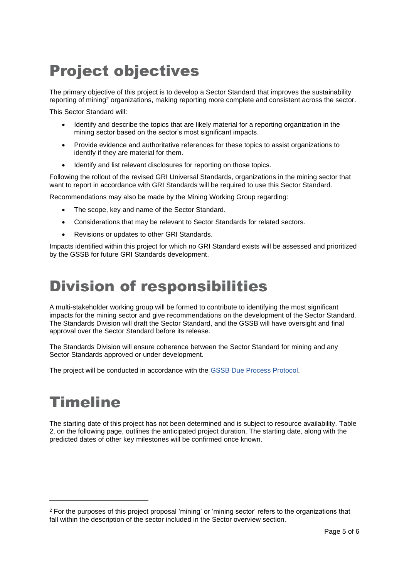## Project objectives

The primary objective of this project is to develop a Sector Standard that improves the sustainability reporting of mining<sup>2</sup> organizations, making reporting more complete and consistent across the sector.

This Sector Standard will:

- Identify and describe the topics that are likely material for a reporting organization in the mining sector based on the sector's most significant impacts.
- Provide evidence and authoritative references for these topics to assist organizations to identify if they are material for them.
- Identify and list relevant disclosures for reporting on those topics.

Following the rollout of the revised GRI Universal Standards, organizations in the mining sector that want to report in accordance with GRI Standards will be required to use this Sector Standard.

Recommendations may also be made by the Mining Working Group regarding:

- The scope, key and name of the Sector Standard.
- Considerations that may be relevant to Sector Standards for related sectors.
- Revisions or updates to other GRI Standards.

<span id="page-4-0"></span>Impacts identified within this project for which no GRI Standard exists will be assessed and prioritized by the GSSB for future GRI Standards development.

#### Division of responsibilities

A multi-stakeholder working group will be formed to contribute to identifying the most significant impacts for the mining sector and give recommendations on the development of the Sector Standard. The Standards Division will draft the Sector Standard, and the GSSB will have oversight and final approval over the Sector Standard before its release.

The Standards Division will ensure coherence between the Sector Standard for mining and any Sector Standards approved or under development.

<span id="page-4-1"></span>The project will be conducted in accordance with the [GSSB Due Process Protocol.](https://www.globalreporting.org/standards/media/2099/gssb-due-process-protocol-2018.pdf)

#### Timeline

The starting date of this project has not been determined and is subject to resource availability. Table 2, on the following page, outlines the anticipated project duration. The starting date, along with the predicted dates of other key milestones will be confirmed once known.

<sup>2</sup> For the purposes of this project proposal 'mining' or 'mining sector' refers to the organizations that fall within the description of the sector included in the Sector overview section.